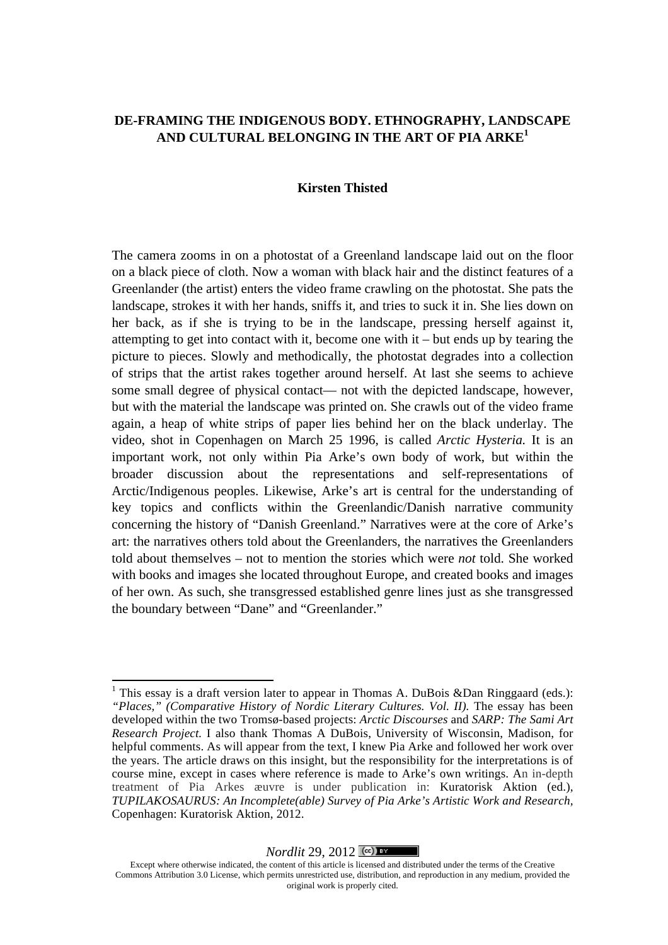# **DE-FRAMING THE INDIGENOUS BODY. ETHNOGRAPHY, LANDSCAPE AND CULTURAL BELONGING IN THE ART OF PIA ARKE<sup>1</sup>**

### **Kirsten Thisted**

The camera zooms in on a photostat of a Greenland landscape laid out on the floor on a black piece of cloth. Now a woman with black hair and the distinct features of a Greenlander (the artist) enters the video frame crawling on the photostat. She pats the landscape, strokes it with her hands, sniffs it, and tries to suck it in. She lies down on her back, as if she is trying to be in the landscape, pressing herself against it, attempting to get into contact with it, become one with it – but ends up by tearing the picture to pieces. Slowly and methodically, the photostat degrades into a collection of strips that the artist rakes together around herself. At last she seems to achieve some small degree of physical contact— not with the depicted landscape, however, but with the material the landscape was printed on. She crawls out of the video frame again, a heap of white strips of paper lies behind her on the black underlay. The video, shot in Copenhagen on March 25 1996, is called *Arctic Hysteria.* It is an important work, not only within Pia Arke's own body of work, but within the broader discussion about the representations and self-representations of Arctic/Indigenous peoples. Likewise, Arke's art is central for the understanding of key topics and conflicts within the Greenlandic/Danish narrative community concerning the history of "Danish Greenland." Narratives were at the core of Arke's art: the narratives others told about the Greenlanders, the narratives the Greenlanders told about themselves – not to mention the stories which were *not* told. She worked with books and images she located throughout Europe, and created books and images of her own. As such, she transgressed established genre lines just as she transgressed the boundary between "Dane" and "Greenlander."

#### *Nordlit* 29, 2012  $\left[\frac{\text{cc}}{\text{cm}}\right]$

<sup>&</sup>lt;sup>1</sup> This essay is a draft version later to appear in Thomas A. DuBois &Dan Ringgaard (eds.): *"Places," (Comparative History of Nordic Literary Cultures. Vol. II).* The essay has been developed within the two Tromsø-based projects: *Arctic Discourses* and *SARP: The Sami Art Research Project.* I also thank Thomas A DuBois, University of Wisconsin, Madison, for helpful comments. As will appear from the text, I knew Pia Arke and followed her work over the years. The article draws on this insight, but the responsibility for the interpretations is of course mine, except in cases where reference is made to Arke's own writings. An in-depth treatment of Pia Arkes æuvre is under publication in: Kuratorisk Aktion (ed.), *TUPILAKOSAURUS: An Incomplete(able) Survey of Pia Arke's Artistic Work and Research,*  Copenhagen: Kuratorisk Aktion, 2012.

Except where otherwise indicated, the content of this article is licensed and distributed under the terms of the Creative Commons Attribution 3.0 License, which permits unrestricted use, distribution, and reproduction in any medium, provided the original work is properly cited.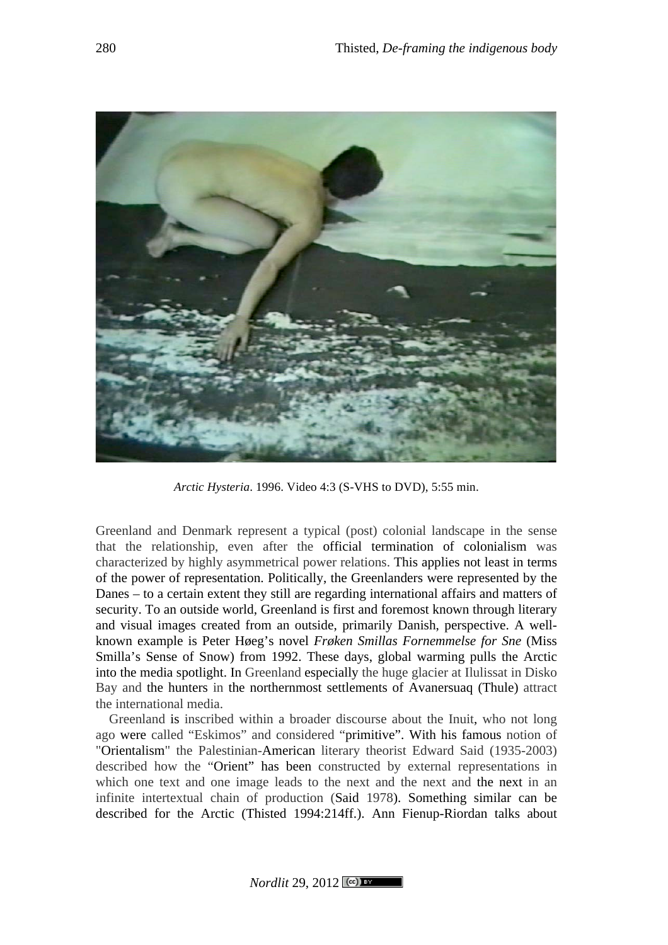

*Arctic Hysteria*. 1996. Video 4:3 (S-VHS to DVD), 5:55 min.

Greenland and Denmark represent a typical (post) colonial landscape in the sense that the relationship, even after the official termination of colonialism was characterized by highly asymmetrical power relations. This applies not least in terms of the power of representation. Politically, the Greenlanders were represented by the Danes – to a certain extent they still are regarding international affairs and matters of security. To an outside world, Greenland is first and foremost known through literary and visual images created from an outside, primarily Danish, perspective. A wellknown example is Peter Høeg's novel *Frøken Smillas Fornemmelse for Sne* (Miss Smilla's Sense of Snow) from 1992. These days, global warming pulls the Arctic into the media spotlight. In Greenland especially the huge glacier at Ilulissat in Disko Bay and the hunters in the northernmost settlements of Avanersuaq (Thule) attract the international media.

Greenland is inscribed within a broader discourse about the Inuit, who not long ago were called "Eskimos" and considered "primitive". With his famous notion of "Orientalism" the Palestinian-American literary theorist Edward Said (1935-2003) described how the "Orient" has been constructed by external representations in which one text and one image leads to the next and the next and the next in an infinite intertextual chain of production (Said 1978). Something similar can be described for the Arctic (Thisted 1994:214ff.). Ann Fienup-Riordan talks about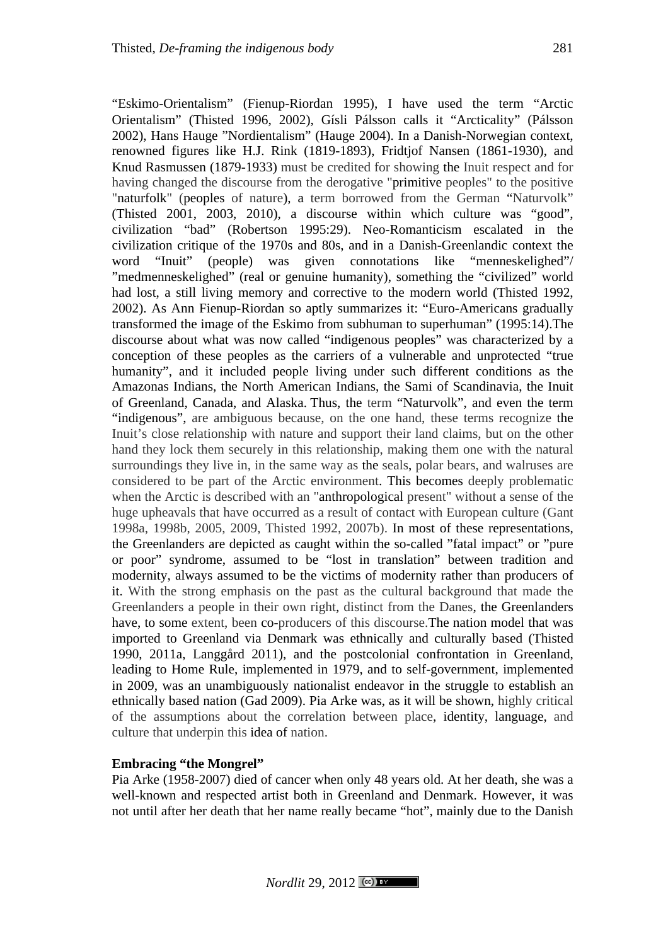"Eskimo-Orientalism" (Fienup-Riordan 1995), I have used the term "Arctic Orientalism" (Thisted 1996, 2002), Gísli Pálsson calls it "Arcticality" (Pálsson 2002), Hans Hauge "Nordientalism" (Hauge 2004). In a Danish-Norwegian context, renowned figures like H.J. Rink (1819-1893), Fridtjof Nansen (1861-1930), and Knud Rasmussen (1879-1933) must be credited for showing the Inuit respect and for having changed the discourse from the derogative "primitive peoples" to the positive "naturfolk" (peoples of nature), a term borrowed from the German "Naturvolk" (Thisted 2001, 2003, 2010), a discourse within which culture was "good", civilization "bad" (Robertson 1995:29). Neo-Romanticism escalated in the civilization critique of the 1970s and 80s, and in a Danish-Greenlandic context the word "Inuit" (people) was given connotations like "menneskelighed"/ "medmenneskelighed" (real or genuine humanity), something the "civilized" world had lost, a still living memory and corrective to the modern world (Thisted 1992, 2002). As Ann Fienup-Riordan so aptly summarizes it: "Euro-Americans gradually transformed the image of the Eskimo from subhuman to superhuman" (1995:14).The discourse about what was now called "indigenous peoples" was characterized by a conception of these peoples as the carriers of a vulnerable and unprotected "true humanity", and it included people living under such different conditions as the Amazonas Indians, the North American Indians, the Sami of Scandinavia, the Inuit of Greenland, Canada, and Alaska. Thus, the term "Naturvolk", and even the term "indigenous", are ambiguous because, on the one hand, these terms recognize the Inuit's close relationship with nature and support their land claims, but on the other hand they lock them securely in this relationship, making them one with the natural surroundings they live in, in the same way as the seals, polar bears, and walruses are considered to be part of the Arctic environment. This becomes deeply problematic when the Arctic is described with an "anthropological present" without a sense of the huge upheavals that have occurred as a result of contact with European culture (Gant 1998a, 1998b, 2005, 2009, Thisted 1992, 2007b). In most of these representations, the Greenlanders are depicted as caught within the so-called "fatal impact" or "pure or poor" syndrome, assumed to be "lost in translation" between tradition and modernity, always assumed to be the victims of modernity rather than producers of it. With the strong emphasis on the past as the cultural background that made the Greenlanders a people in their own right, distinct from the Danes, the Greenlanders have, to some extent, been co-producers of this discourse.The nation model that was imported to Greenland via Denmark was ethnically and culturally based (Thisted 1990, 2011a, Langgård 2011), and the postcolonial confrontation in Greenland, leading to Home Rule, implemented in 1979, and to self-government, implemented in 2009, was an unambiguously nationalist endeavor in the struggle to establish an ethnically based nation (Gad 2009). Pia Arke was, as it will be shown, highly critical of the assumptions about the correlation between place, identity, language, and culture that underpin this idea of nation.

## **Embracing "the Mongrel"**

Pia Arke (1958-2007) died of cancer when only 48 years old. At her death, she was a well-known and respected artist both in Greenland and Denmark. However, it was not until after her death that her name really became "hot", mainly due to the Danish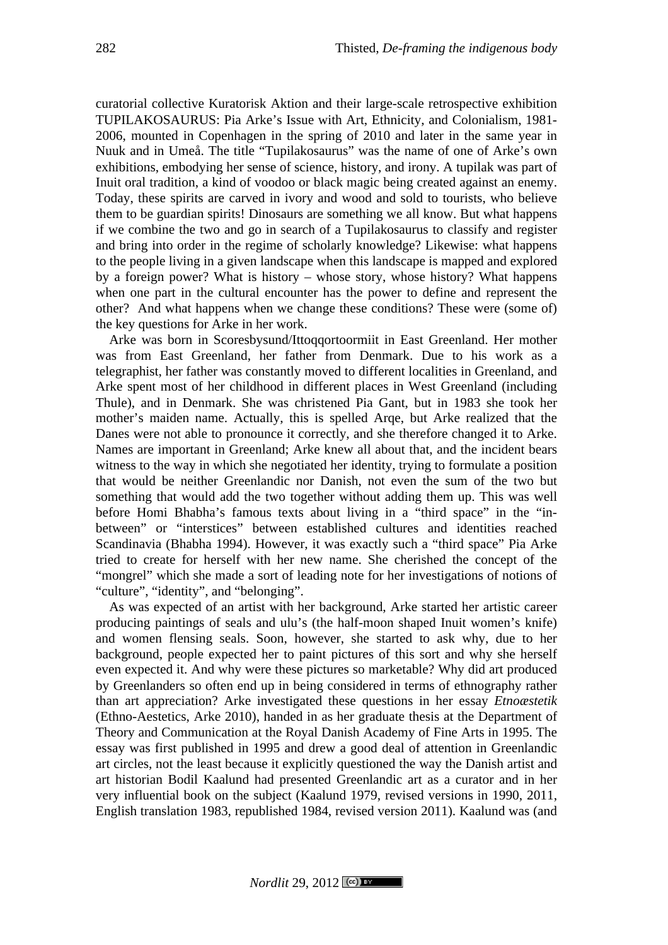curatorial collective Kuratorisk Aktion and their large-scale retrospective exhibition TUPILAKOSAURUS: Pia Arke's Issue with Art, Ethnicity, and Colonialism, 1981- 2006, mounted in Copenhagen in the spring of 2010 and later in the same year in Nuuk and in Umeå. The title "Tupilakosaurus" was the name of one of Arke's own exhibitions, embodying her sense of science, history, and irony. A tupilak was part of Inuit oral tradition, a kind of voodoo or black magic being created against an enemy. Today, these spirits are carved in ivory and wood and sold to tourists, who believe them to be guardian spirits! Dinosaurs are something we all know. But what happens if we combine the two and go in search of a Tupilakosaurus to classify and register and bring into order in the regime of scholarly knowledge? Likewise: what happens to the people living in a given landscape when this landscape is mapped and explored by a foreign power? What is history – whose story, whose history? What happens when one part in the cultural encounter has the power to define and represent the other? And what happens when we change these conditions? These were (some of) the key questions for Arke in her work.

Arke was born in Scoresbysund/Ittoqqortoormiit in East Greenland. Her mother was from East Greenland, her father from Denmark. Due to his work as a telegraphist, her father was constantly moved to different localities in Greenland, and Arke spent most of her childhood in different places in West Greenland (including Thule), and in Denmark. She was christened Pia Gant, but in 1983 she took her mother's maiden name. Actually, this is spelled Arqe, but Arke realized that the Danes were not able to pronounce it correctly, and she therefore changed it to Arke. Names are important in Greenland; Arke knew all about that, and the incident bears witness to the way in which she negotiated her identity, trying to formulate a position that would be neither Greenlandic nor Danish, not even the sum of the two but something that would add the two together without adding them up. This was well before Homi Bhabha's famous texts about living in a "third space" in the "inbetween" or "interstices" between established cultures and identities reached Scandinavia (Bhabha 1994). However, it was exactly such a "third space" Pia Arke tried to create for herself with her new name. She cherished the concept of the "mongrel" which she made a sort of leading note for her investigations of notions of "culture", "identity", and "belonging".

As was expected of an artist with her background, Arke started her artistic career producing paintings of seals and ulu's (the half-moon shaped Inuit women's knife) and women flensing seals. Soon, however, she started to ask why, due to her background, people expected her to paint pictures of this sort and why she herself even expected it. And why were these pictures so marketable? Why did art produced by Greenlanders so often end up in being considered in terms of ethnography rather than art appreciation? Arke investigated these questions in her essay *Etnoæstetik*  (Ethno-Aestetics, Arke 2010), handed in as her graduate thesis at the Department of Theory and Communication at the Royal Danish Academy of Fine Arts in 1995. The essay was first published in 1995 and drew a good deal of attention in Greenlandic art circles, not the least because it explicitly questioned the way the Danish artist and art historian Bodil Kaalund had presented Greenlandic art as a curator and in her very influential book on the subject (Kaalund 1979, revised versions in 1990, 2011, English translation 1983, republished 1984, revised version 2011). Kaalund was (and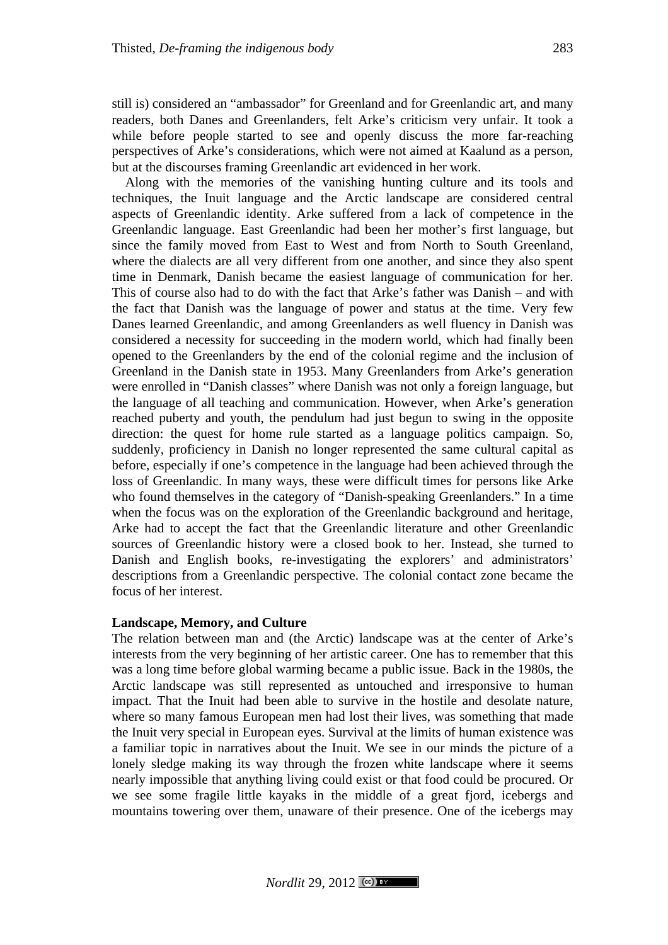still is) considered an "ambassador" for Greenland and for Greenlandic art, and many readers, both Danes and Greenlanders, felt Arke's criticism very unfair. It took a while before people started to see and openly discuss the more far-reaching perspectives of Arke's considerations, which were not aimed at Kaalund as a person, but at the discourses framing Greenlandic art evidenced in her work.

Along with the memories of the vanishing hunting culture and its tools and techniques, the Inuit language and the Arctic landscape are considered central aspects of Greenlandic identity. Arke suffered from a lack of competence in the Greenlandic language. East Greenlandic had been her mother's first language, but since the family moved from East to West and from North to South Greenland, where the dialects are all very different from one another, and since they also spent time in Denmark, Danish became the easiest language of communication for her. This of course also had to do with the fact that Arke's father was Danish – and with the fact that Danish was the language of power and status at the time. Very few Danes learned Greenlandic, and among Greenlanders as well fluency in Danish was considered a necessity for succeeding in the modern world, which had finally been opened to the Greenlanders by the end of the colonial regime and the inclusion of Greenland in the Danish state in 1953. Many Greenlanders from Arke's generation were enrolled in "Danish classes" where Danish was not only a foreign language, but the language of all teaching and communication. However, when Arke's generation reached puberty and youth, the pendulum had just begun to swing in the opposite direction: the quest for home rule started as a language politics campaign. So, suddenly, proficiency in Danish no longer represented the same cultural capital as before, especially if one's competence in the language had been achieved through the loss of Greenlandic. In many ways, these were difficult times for persons like Arke who found themselves in the category of "Danish-speaking Greenlanders." In a time when the focus was on the exploration of the Greenlandic background and heritage, Arke had to accept the fact that the Greenlandic literature and other Greenlandic sources of Greenlandic history were a closed book to her. Instead, she turned to Danish and English books, re-investigating the explorers' and administrators' descriptions from a Greenlandic perspective. The colonial contact zone became the focus of her interest.

# **Landscape, Memory, and Culture**

The relation between man and (the Arctic) landscape was at the center of Arke's interests from the very beginning of her artistic career. One has to remember that this was a long time before global warming became a public issue. Back in the 1980s, the Arctic landscape was still represented as untouched and irresponsive to human impact. That the Inuit had been able to survive in the hostile and desolate nature, where so many famous European men had lost their lives, was something that made the Inuit very special in European eyes. Survival at the limits of human existence was a familiar topic in narratives about the Inuit. We see in our minds the picture of a lonely sledge making its way through the frozen white landscape where it seems nearly impossible that anything living could exist or that food could be procured. Or we see some fragile little kayaks in the middle of a great fjord, icebergs and mountains towering over them, unaware of their presence. One of the icebergs may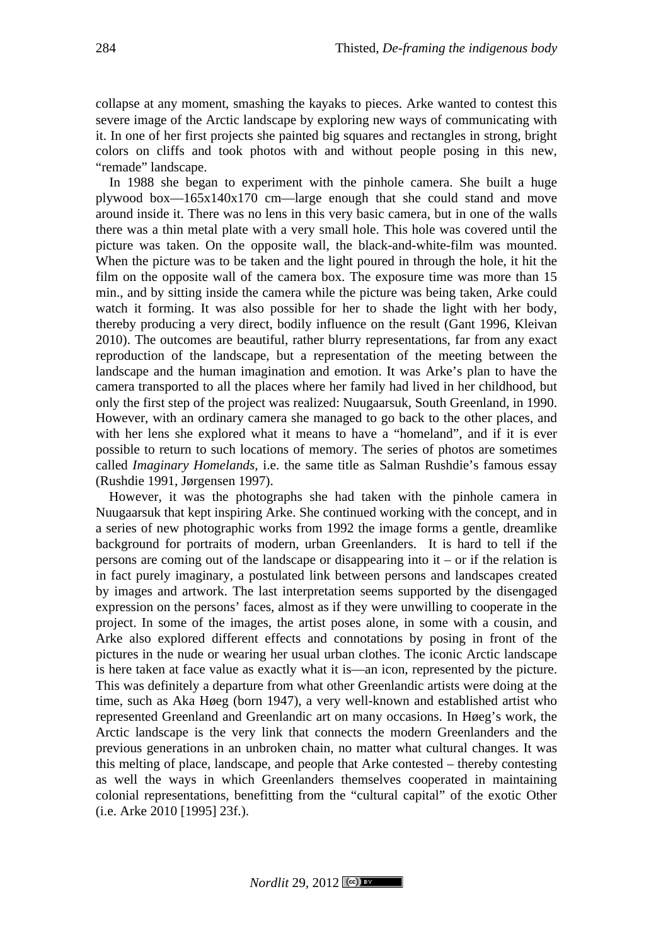collapse at any moment, smashing the kayaks to pieces. Arke wanted to contest this severe image of the Arctic landscape by exploring new ways of communicating with it. In one of her first projects she painted big squares and rectangles in strong, bright colors on cliffs and took photos with and without people posing in this new, "remade" landscape.

In 1988 she began to experiment with the pinhole camera. She built a huge plywood box—165x140x170 cm—large enough that she could stand and move around inside it. There was no lens in this very basic camera, but in one of the walls there was a thin metal plate with a very small hole. This hole was covered until the picture was taken. On the opposite wall, the black-and-white-film was mounted. When the picture was to be taken and the light poured in through the hole, it hit the film on the opposite wall of the camera box. The exposure time was more than 15 min., and by sitting inside the camera while the picture was being taken, Arke could watch it forming. It was also possible for her to shade the light with her body, thereby producing a very direct, bodily influence on the result (Gant 1996, Kleivan 2010). The outcomes are beautiful, rather blurry representations, far from any exact reproduction of the landscape, but a representation of the meeting between the landscape and the human imagination and emotion. It was Arke's plan to have the camera transported to all the places where her family had lived in her childhood, but only the first step of the project was realized: Nuugaarsuk, South Greenland, in 1990. However, with an ordinary camera she managed to go back to the other places, and with her lens she explored what it means to have a "homeland", and if it is ever possible to return to such locations of memory. The series of photos are sometimes called *Imaginary Homelands*, i.e. the same title as Salman Rushdie's famous essay (Rushdie 1991, Jørgensen 1997).

However, it was the photographs she had taken with the pinhole camera in Nuugaarsuk that kept inspiring Arke. She continued working with the concept, and in a series of new photographic works from 1992 the image forms a gentle, dreamlike background for portraits of modern, urban Greenlanders. It is hard to tell if the persons are coming out of the landscape or disappearing into it – or if the relation is in fact purely imaginary, a postulated link between persons and landscapes created by images and artwork. The last interpretation seems supported by the disengaged expression on the persons' faces, almost as if they were unwilling to cooperate in the project. In some of the images, the artist poses alone, in some with a cousin, and Arke also explored different effects and connotations by posing in front of the pictures in the nude or wearing her usual urban clothes. The iconic Arctic landscape is here taken at face value as exactly what it is—an icon, represented by the picture. This was definitely a departure from what other Greenlandic artists were doing at the time, such as Aka Høeg (born 1947), a very well-known and established artist who represented Greenland and Greenlandic art on many occasions. In Høeg's work, the Arctic landscape is the very link that connects the modern Greenlanders and the previous generations in an unbroken chain, no matter what cultural changes. It was this melting of place, landscape, and people that Arke contested – thereby contesting as well the ways in which Greenlanders themselves cooperated in maintaining colonial representations, benefitting from the "cultural capital" of the exotic Other (i.e. Arke 2010 [1995] 23f.).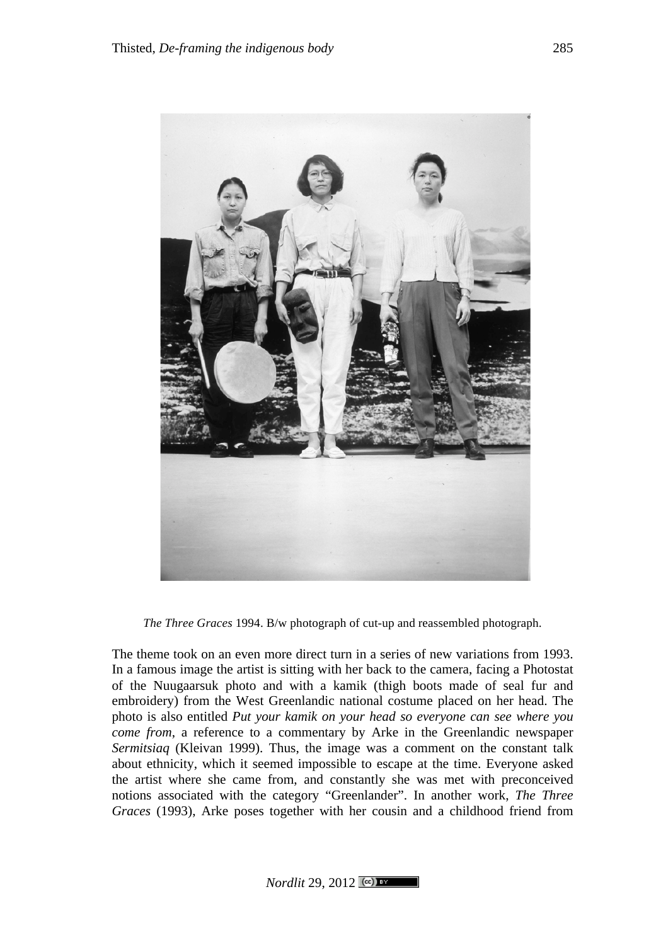

*The Three Graces* 1994. B/w photograph of cut-up and reassembled photograph.

The theme took on an even more direct turn in a series of new variations from 1993. In a famous image the artist is sitting with her back to the camera, facing a Photostat of the Nuugaarsuk photo and with a kamik (thigh boots made of seal fur and embroidery) from the West Greenlandic national costume placed on her head. The photo is also entitled *Put your kamik on your head so everyone can see where you come from*, a reference to a commentary by Arke in the Greenlandic newspaper *Sermitsiaq* (Kleivan 1999). Thus, the image was a comment on the constant talk about ethnicity, which it seemed impossible to escape at the time. Everyone asked the artist where she came from, and constantly she was met with preconceived notions associated with the category "Greenlander". In another work, *The Three Graces* (1993), Arke poses together with her cousin and a childhood friend from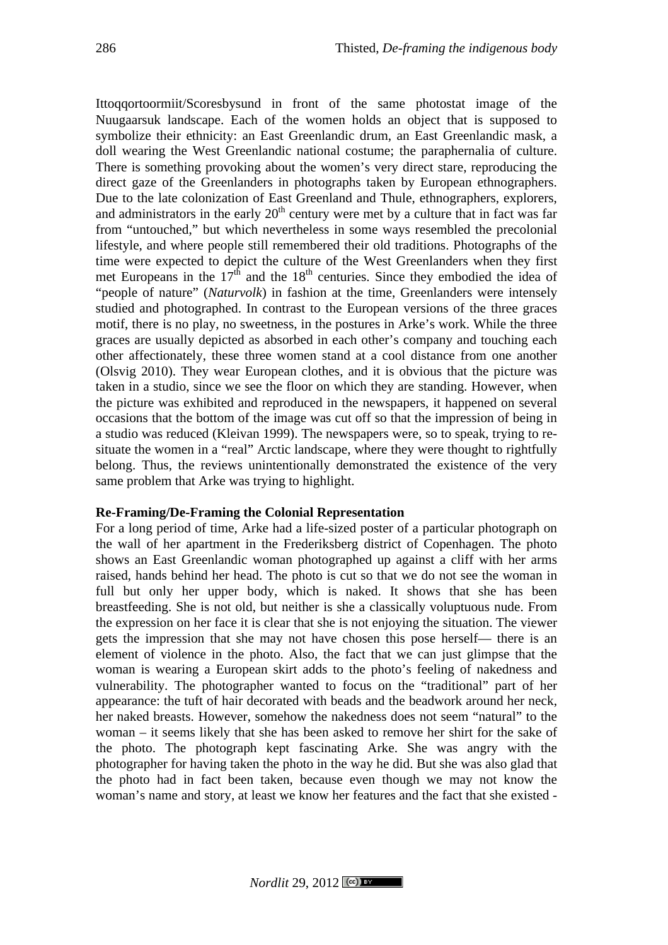Ittoqqortoormiit/Scoresbysund in front of the same photostat image of the Nuugaarsuk landscape. Each of the women holds an object that is supposed to symbolize their ethnicity: an East Greenlandic drum, an East Greenlandic mask, a doll wearing the West Greenlandic national costume; the paraphernalia of culture. There is something provoking about the women's very direct stare, reproducing the direct gaze of the Greenlanders in photographs taken by European ethnographers. Due to the late colonization of East Greenland and Thule, ethnographers, explorers, and administrators in the early  $20<sup>th</sup>$  century were met by a culture that in fact was far from "untouched," but which nevertheless in some ways resembled the precolonial lifestyle, and where people still remembered their old traditions. Photographs of the time were expected to depict the culture of the West Greenlanders when they first met Europeans in the  $17<sup>th</sup>$  and the  $18<sup>th</sup>$  centuries. Since they embodied the idea of "people of nature" (*Naturvolk*) in fashion at the time, Greenlanders were intensely studied and photographed. In contrast to the European versions of the three graces motif, there is no play, no sweetness, in the postures in Arke's work. While the three graces are usually depicted as absorbed in each other's company and touching each other affectionately, these three women stand at a cool distance from one another (Olsvig 2010). They wear European clothes, and it is obvious that the picture was taken in a studio, since we see the floor on which they are standing. However, when the picture was exhibited and reproduced in the newspapers, it happened on several occasions that the bottom of the image was cut off so that the impression of being in a studio was reduced (Kleivan 1999). The newspapers were, so to speak, trying to resituate the women in a "real" Arctic landscape, where they were thought to rightfully belong. Thus, the reviews unintentionally demonstrated the existence of the very same problem that Arke was trying to highlight.

### **Re-Framing/De-Framing the Colonial Representation**

For a long period of time, Arke had a life-sized poster of a particular photograph on the wall of her apartment in the Frederiksberg district of Copenhagen. The photo shows an East Greenlandic woman photographed up against a cliff with her arms raised, hands behind her head. The photo is cut so that we do not see the woman in full but only her upper body, which is naked. It shows that she has been breastfeeding. She is not old, but neither is she a classically voluptuous nude. From the expression on her face it is clear that she is not enjoying the situation. The viewer gets the impression that she may not have chosen this pose herself— there is an element of violence in the photo. Also, the fact that we can just glimpse that the woman is wearing a European skirt adds to the photo's feeling of nakedness and vulnerability. The photographer wanted to focus on the "traditional" part of her appearance: the tuft of hair decorated with beads and the beadwork around her neck, her naked breasts. However, somehow the nakedness does not seem "natural" to the woman – it seems likely that she has been asked to remove her shirt for the sake of the photo. The photograph kept fascinating Arke. She was angry with the photographer for having taken the photo in the way he did. But she was also glad that the photo had in fact been taken, because even though we may not know the woman's name and story, at least we know her features and the fact that she existed -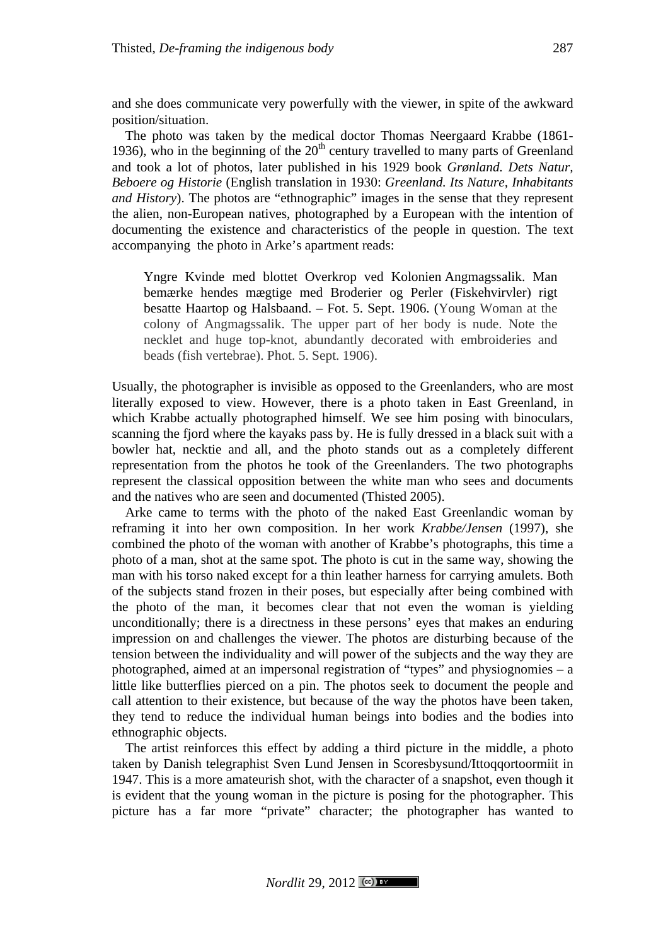and she does communicate very powerfully with the viewer, in spite of the awkward position/situation.

The photo was taken by the medical doctor Thomas Neergaard Krabbe (1861- 1936), who in the beginning of the  $20<sup>th</sup>$  century travelled to many parts of Greenland and took a lot of photos, later published in his 1929 book *Grønland. Dets Natur, Beboere og Historie* (English translation in 1930: *Greenland. Its Nature, Inhabitants and History*). The photos are "ethnographic" images in the sense that they represent the alien, non-European natives, photographed by a European with the intention of documenting the existence and characteristics of the people in question. The text accompanying the photo in Arke's apartment reads:

Yngre Kvinde med blottet Overkrop ved Kolonien Angmagssalik. Man bemærke hendes mægtige med Broderier og Perler (Fiskehvirvler) rigt besatte Haartop og Halsbaand. – Fot. 5. Sept. 1906. (Young Woman at the colony of Angmagssalik. The upper part of her body is nude. Note the necklet and huge top-knot, abundantly decorated with embroideries and beads (fish vertebrae). Phot. 5. Sept. 1906).

Usually, the photographer is invisible as opposed to the Greenlanders, who are most literally exposed to view. However, there is a photo taken in East Greenland, in which Krabbe actually photographed himself. We see him posing with binoculars, scanning the fjord where the kayaks pass by. He is fully dressed in a black suit with a bowler hat, necktie and all, and the photo stands out as a completely different representation from the photos he took of the Greenlanders. The two photographs represent the classical opposition between the white man who sees and documents and the natives who are seen and documented (Thisted 2005).

Arke came to terms with the photo of the naked East Greenlandic woman by reframing it into her own composition. In her work *Krabbe/Jensen* (1997), she combined the photo of the woman with another of Krabbe's photographs, this time a photo of a man, shot at the same spot. The photo is cut in the same way, showing the man with his torso naked except for a thin leather harness for carrying amulets. Both of the subjects stand frozen in their poses, but especially after being combined with the photo of the man, it becomes clear that not even the woman is yielding unconditionally; there is a directness in these persons' eyes that makes an enduring impression on and challenges the viewer. The photos are disturbing because of the tension between the individuality and will power of the subjects and the way they are photographed, aimed at an impersonal registration of "types" and physiognomies – a little like butterflies pierced on a pin. The photos seek to document the people and call attention to their existence, but because of the way the photos have been taken, they tend to reduce the individual human beings into bodies and the bodies into ethnographic objects.

The artist reinforces this effect by adding a third picture in the middle, a photo taken by Danish telegraphist Sven Lund Jensen in Scoresbysund/Ittoqqortoormiit in 1947. This is a more amateurish shot, with the character of a snapshot, even though it is evident that the young woman in the picture is posing for the photographer. This picture has a far more "private" character; the photographer has wanted to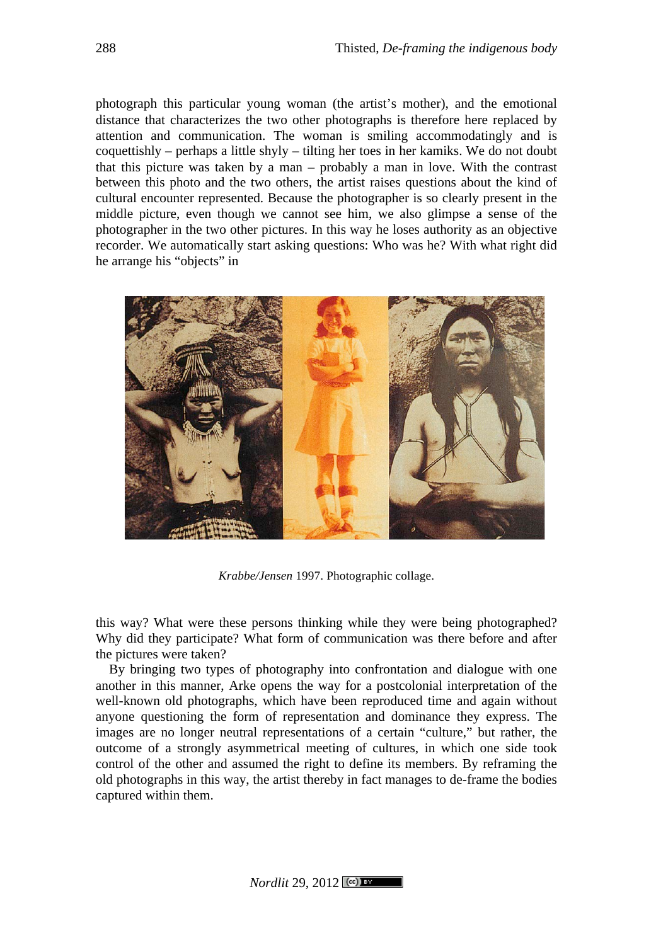photograph this particular young woman (the artist's mother), and the emotional distance that characterizes the two other photographs is therefore here replaced by attention and communication. The woman is smiling accommodatingly and is coquettishly – perhaps a little shyly – tilting her toes in her kamiks. We do not doubt that this picture was taken by a man – probably a man in love. With the contrast between this photo and the two others, the artist raises questions about the kind of cultural encounter represented. Because the photographer is so clearly present in the middle picture, even though we cannot see him, we also glimpse a sense of the photographer in the two other pictures. In this way he loses authority as an objective recorder. We automatically start asking questions: Who was he? With what right did he arrange his "objects" in



*Krabbe/Jensen* 1997. Photographic collage.

this way? What were these persons thinking while they were being photographed? Why did they participate? What form of communication was there before and after the pictures were taken?

By bringing two types of photography into confrontation and dialogue with one another in this manner, Arke opens the way for a postcolonial interpretation of the well-known old photographs, which have been reproduced time and again without anyone questioning the form of representation and dominance they express. The images are no longer neutral representations of a certain "culture," but rather, the outcome of a strongly asymmetrical meeting of cultures, in which one side took control of the other and assumed the right to define its members. By reframing the old photographs in this way, the artist thereby in fact manages to de-frame the bodies captured within them.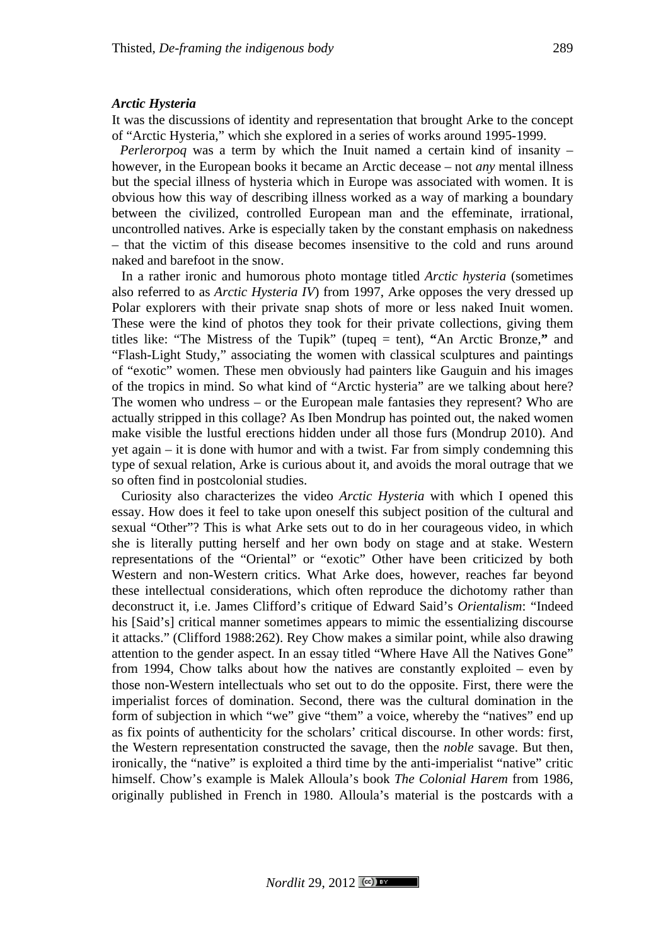### *Arctic Hysteria*

It was the discussions of identity and representation that brought Arke to the concept of "Arctic Hysteria," which she explored in a series of works around 1995-1999.

*Perlerorpoq* was a term by which the Inuit named a certain kind of insanity – however, in the European books it became an Arctic decease – not *any* mental illness but the special illness of hysteria which in Europe was associated with women. It is obvious how this way of describing illness worked as a way of marking a boundary between the civilized, controlled European man and the effeminate, irrational, uncontrolled natives. Arke is especially taken by the constant emphasis on nakedness – that the victim of this disease becomes insensitive to the cold and runs around naked and barefoot in the snow.

In a rather ironic and humorous photo montage titled *Arctic hysteria* (sometimes also referred to as *Arctic Hysteria IV*) from 1997, Arke opposes the very dressed up Polar explorers with their private snap shots of more or less naked Inuit women. These were the kind of photos they took for their private collections, giving them titles like: "The Mistress of the Tupik" (tupeq = tent), **"**An Arctic Bronze,**"** and "Flash-Light Study," associating the women with classical sculptures and paintings of "exotic" women. These men obviously had painters like Gauguin and his images of the tropics in mind. So what kind of "Arctic hysteria" are we talking about here? The women who undress – or the European male fantasies they represent? Who are actually stripped in this collage? As Iben Mondrup has pointed out, the naked women make visible the lustful erections hidden under all those furs (Mondrup 2010). And yet again – it is done with humor and with a twist. Far from simply condemning this type of sexual relation, Arke is curious about it, and avoids the moral outrage that we so often find in postcolonial studies.

Curiosity also characterizes the video *Arctic Hysteria* with which I opened this essay. How does it feel to take upon oneself this subject position of the cultural and sexual "Other"? This is what Arke sets out to do in her courageous video, in which she is literally putting herself and her own body on stage and at stake. Western representations of the "Oriental" or "exotic" Other have been criticized by both Western and non-Western critics. What Arke does, however, reaches far beyond these intellectual considerations, which often reproduce the dichotomy rather than deconstruct it, i.e. James Clifford's critique of Edward Said's *Orientalism*: "Indeed his [Said's] critical manner sometimes appears to mimic the essentializing discourse it attacks." (Clifford 1988:262). Rey Chow makes a similar point, while also drawing attention to the gender aspect. In an essay titled "Where Have All the Natives Gone" from 1994, Chow talks about how the natives are constantly exploited – even by those non-Western intellectuals who set out to do the opposite. First, there were the imperialist forces of domination. Second, there was the cultural domination in the form of subjection in which "we" give "them" a voice, whereby the "natives" end up as fix points of authenticity for the scholars' critical discourse. In other words: first, the Western representation constructed the savage, then the *noble* savage. But then, ironically, the "native" is exploited a third time by the anti-imperialist "native" critic himself. Chow's example is Malek Alloula's book *The Colonial Harem* from 1986, originally published in French in 1980. Alloula's material is the postcards with a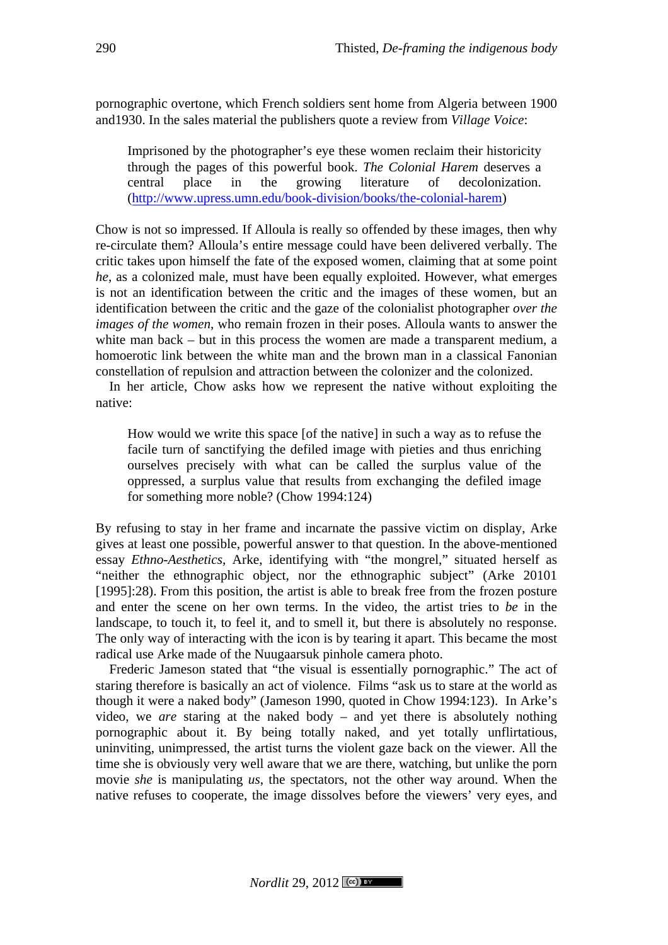pornographic overtone, which French soldiers sent home from Algeria between 1900 and1930. In the sales material the publishers quote a review from *Village Voice*:

Imprisoned by the photographer's eye these women reclaim their historicity through the pages of this powerful book. *The Colonial Harem* deserves a central place in the growing literature of decolonization. (http://www.upress.umn.edu/book-division/books/the-colonial-harem)

Chow is not so impressed. If Alloula is really so offended by these images, then why re-circulate them? Alloula's entire message could have been delivered verbally. The critic takes upon himself the fate of the exposed women, claiming that at some point *he*, as a colonized male, must have been equally exploited. However, what emerges is not an identification between the critic and the images of these women, but an identification between the critic and the gaze of the colonialist photographer *over the images of the women*, who remain frozen in their poses. Alloula wants to answer the white man back – but in this process the women are made a transparent medium, a homoerotic link between the white man and the brown man in a classical Fanonian constellation of repulsion and attraction between the colonizer and the colonized.

In her article, Chow asks how we represent the native without exploiting the native:

How would we write this space [of the native] in such a way as to refuse the facile turn of sanctifying the defiled image with pieties and thus enriching ourselves precisely with what can be called the surplus value of the oppressed, a surplus value that results from exchanging the defiled image for something more noble? (Chow 1994:124)

By refusing to stay in her frame and incarnate the passive victim on display, Arke gives at least one possible, powerful answer to that question. In the above-mentioned essay *Ethno-Aesthetics*, Arke, identifying with "the mongrel," situated herself as "neither the ethnographic object, nor the ethnographic subject" (Arke 20101 [1995]:28). From this position, the artist is able to break free from the frozen posture and enter the scene on her own terms. In the video, the artist tries to *be* in the landscape, to touch it, to feel it, and to smell it, but there is absolutely no response. The only way of interacting with the icon is by tearing it apart. This became the most radical use Arke made of the Nuugaarsuk pinhole camera photo.

Frederic Jameson stated that "the visual is essentially pornographic." The act of staring therefore is basically an act of violence. Films "ask us to stare at the world as though it were a naked body" (Jameson 1990, quoted in Chow 1994:123). In Arke's video, we *are* staring at the naked body – and yet there is absolutely nothing pornographic about it. By being totally naked, and yet totally unflirtatious, uninviting, unimpressed, the artist turns the violent gaze back on the viewer. All the time she is obviously very well aware that we are there, watching, but unlike the porn movie *she* is manipulating *us*, the spectators, not the other way around. When the native refuses to cooperate, the image dissolves before the viewers' very eyes, and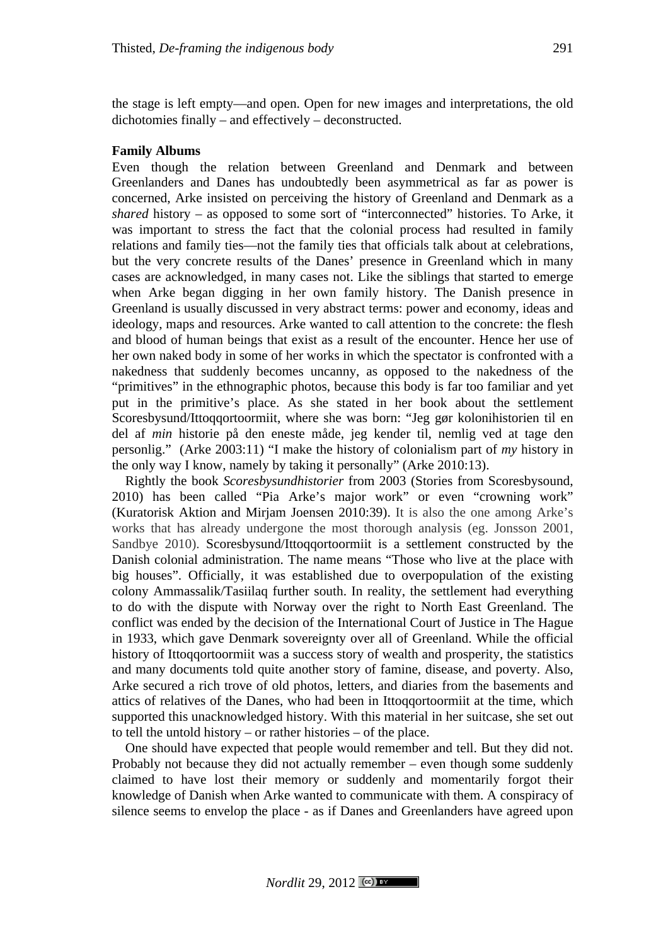the stage is left empty—and open. Open for new images and interpretations, the old dichotomies finally – and effectively – deconstructed.

### **Family Albums**

Even though the relation between Greenland and Denmark and between Greenlanders and Danes has undoubtedly been asymmetrical as far as power is concerned, Arke insisted on perceiving the history of Greenland and Denmark as a *shared* history – as opposed to some sort of "interconnected" histories. To Arke, it was important to stress the fact that the colonial process had resulted in family relations and family ties—not the family ties that officials talk about at celebrations, but the very concrete results of the Danes' presence in Greenland which in many cases are acknowledged, in many cases not. Like the siblings that started to emerge when Arke began digging in her own family history. The Danish presence in Greenland is usually discussed in very abstract terms: power and economy, ideas and ideology, maps and resources. Arke wanted to call attention to the concrete: the flesh and blood of human beings that exist as a result of the encounter. Hence her use of her own naked body in some of her works in which the spectator is confronted with a nakedness that suddenly becomes uncanny, as opposed to the nakedness of the "primitives" in the ethnographic photos, because this body is far too familiar and yet put in the primitive's place. As she stated in her book about the settlement Scoresbysund/Ittoqqortoormiit, where she was born: "Jeg gør kolonihistorien til en del af *min* historie på den eneste måde, jeg kender til, nemlig ved at tage den personlig." (Arke 2003:11) "I make the history of colonialism part of *my* history in the only way I know, namely by taking it personally" (Arke 2010:13).

Rightly the book *Scoresbysundhistorier* from 2003 (Stories from Scoresbysound, 2010) has been called "Pia Arke's major work" or even "crowning work" (Kuratorisk Aktion and Mirjam Joensen 2010:39). It is also the one among Arke's works that has already undergone the most thorough analysis (eg. Jonsson 2001, Sandbye 2010). Scoresbysund/Ittoqqortoormiit is a settlement constructed by the Danish colonial administration. The name means "Those who live at the place with big houses". Officially, it was established due to overpopulation of the existing colony Ammassalik/Tasiilaq further south. In reality, the settlement had everything to do with the dispute with Norway over the right to North East Greenland. The conflict was ended by the decision of the International Court of Justice in The Hague in 1933, which gave Denmark sovereignty over all of Greenland. While the official history of Ittoqqortoormiit was a success story of wealth and prosperity, the statistics and many documents told quite another story of famine, disease, and poverty. Also, Arke secured a rich trove of old photos, letters, and diaries from the basements and attics of relatives of the Danes, who had been in Ittoqqortoormiit at the time, which supported this unacknowledged history. With this material in her suitcase, she set out to tell the untold history – or rather histories – of the place.

One should have expected that people would remember and tell. But they did not. Probably not because they did not actually remember – even though some suddenly claimed to have lost their memory or suddenly and momentarily forgot their knowledge of Danish when Arke wanted to communicate with them. A conspiracy of silence seems to envelop the place - as if Danes and Greenlanders have agreed upon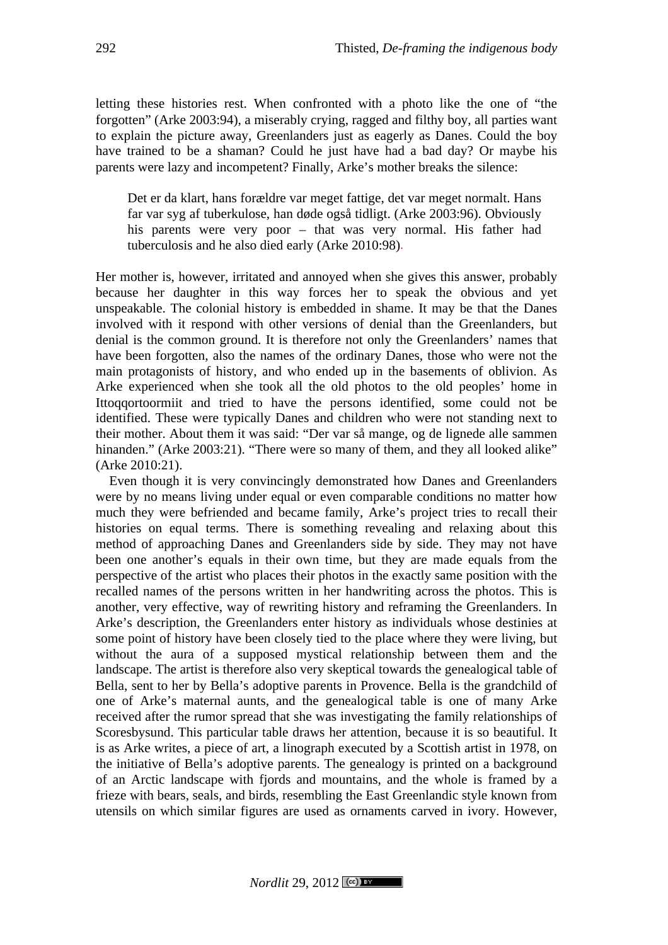letting these histories rest. When confronted with a photo like the one of "the forgotten" (Arke 2003:94), a miserably crying, ragged and filthy boy, all parties want to explain the picture away, Greenlanders just as eagerly as Danes. Could the boy have trained to be a shaman? Could he just have had a bad day? Or maybe his parents were lazy and incompetent? Finally, Arke's mother breaks the silence:

Det er da klart, hans forældre var meget fattige, det var meget normalt. Hans far var syg af tuberkulose, han døde også tidligt. (Arke 2003:96). Obviously his parents were very poor – that was very normal. His father had tuberculosis and he also died early (Arke 2010:98).

Her mother is, however, irritated and annoyed when she gives this answer, probably because her daughter in this way forces her to speak the obvious and yet unspeakable. The colonial history is embedded in shame. It may be that the Danes involved with it respond with other versions of denial than the Greenlanders, but denial is the common ground. It is therefore not only the Greenlanders' names that have been forgotten, also the names of the ordinary Danes, those who were not the main protagonists of history, and who ended up in the basements of oblivion. As Arke experienced when she took all the old photos to the old peoples' home in Ittoqqortoormiit and tried to have the persons identified, some could not be identified. These were typically Danes and children who were not standing next to their mother. About them it was said: "Der var så mange, og de lignede alle sammen hinanden." (Arke 2003:21). "There were so many of them, and they all looked alike" (Arke 2010:21).

Even though it is very convincingly demonstrated how Danes and Greenlanders were by no means living under equal or even comparable conditions no matter how much they were befriended and became family, Arke's project tries to recall their histories on equal terms. There is something revealing and relaxing about this method of approaching Danes and Greenlanders side by side. They may not have been one another's equals in their own time, but they are made equals from the perspective of the artist who places their photos in the exactly same position with the recalled names of the persons written in her handwriting across the photos. This is another, very effective, way of rewriting history and reframing the Greenlanders. In Arke's description, the Greenlanders enter history as individuals whose destinies at some point of history have been closely tied to the place where they were living, but without the aura of a supposed mystical relationship between them and the landscape. The artist is therefore also very skeptical towards the genealogical table of Bella, sent to her by Bella's adoptive parents in Provence. Bella is the grandchild of one of Arke's maternal aunts, and the genealogical table is one of many Arke received after the rumor spread that she was investigating the family relationships of Scoresbysund. This particular table draws her attention, because it is so beautiful. It is as Arke writes, a piece of art, a linograph executed by a Scottish artist in 1978, on the initiative of Bella's adoptive parents. The genealogy is printed on a background of an Arctic landscape with fjords and mountains, and the whole is framed by a frieze with bears, seals, and birds, resembling the East Greenlandic style known from utensils on which similar figures are used as ornaments carved in ivory. However,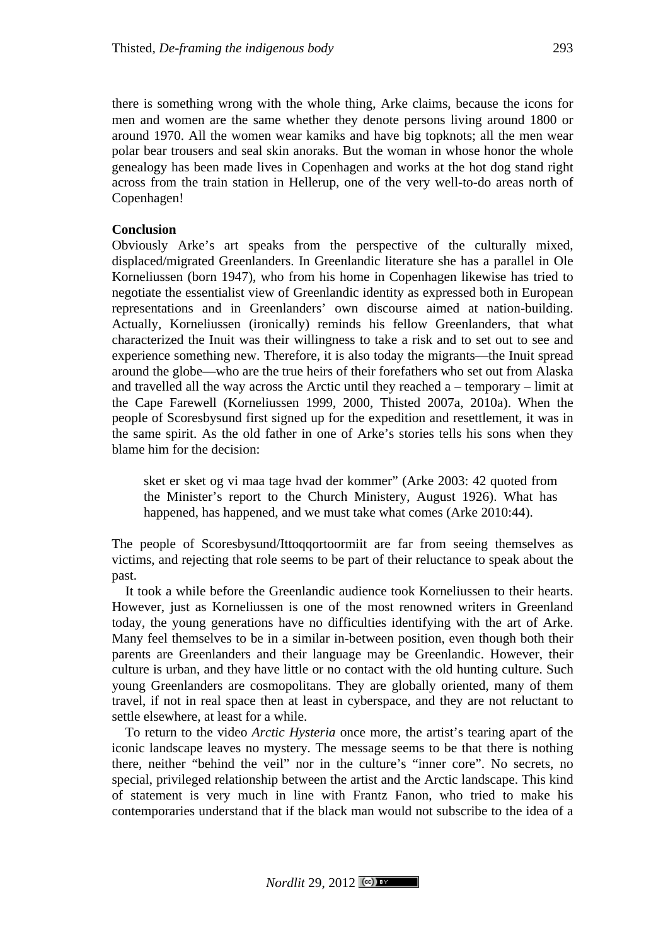there is something wrong with the whole thing, Arke claims, because the icons for men and women are the same whether they denote persons living around 1800 or around 1970. All the women wear kamiks and have big topknots; all the men wear polar bear trousers and seal skin anoraks. But the woman in whose honor the whole genealogy has been made lives in Copenhagen and works at the hot dog stand right across from the train station in Hellerup, one of the very well-to-do areas north of Copenhagen!

## **Conclusion**

Obviously Arke's art speaks from the perspective of the culturally mixed, displaced/migrated Greenlanders. In Greenlandic literature she has a parallel in Ole Korneliussen (born 1947), who from his home in Copenhagen likewise has tried to negotiate the essentialist view of Greenlandic identity as expressed both in European representations and in Greenlanders' own discourse aimed at nation-building. Actually, Korneliussen (ironically) reminds his fellow Greenlanders, that what characterized the Inuit was their willingness to take a risk and to set out to see and experience something new. Therefore, it is also today the migrants—the Inuit spread around the globe—who are the true heirs of their forefathers who set out from Alaska and travelled all the way across the Arctic until they reached a – temporary – limit at the Cape Farewell (Korneliussen 1999, 2000, Thisted 2007a, 2010a). When the people of Scoresbysund first signed up for the expedition and resettlement, it was in the same spirit. As the old father in one of Arke's stories tells his sons when they blame him for the decision:

sket er sket og vi maa tage hvad der kommer" (Arke 2003: 42 quoted from the Minister's report to the Church Ministery, August 1926). What has happened, has happened, and we must take what comes (Arke 2010:44).

The people of Scoresbysund/Ittoqqortoormiit are far from seeing themselves as victims, and rejecting that role seems to be part of their reluctance to speak about the past.

It took a while before the Greenlandic audience took Korneliussen to their hearts. However, just as Korneliussen is one of the most renowned writers in Greenland today, the young generations have no difficulties identifying with the art of Arke. Many feel themselves to be in a similar in-between position, even though both their parents are Greenlanders and their language may be Greenlandic. However, their culture is urban, and they have little or no contact with the old hunting culture. Such young Greenlanders are cosmopolitans. They are globally oriented, many of them travel, if not in real space then at least in cyberspace, and they are not reluctant to settle elsewhere, at least for a while.

To return to the video *Arctic Hysteria* once more, the artist's tearing apart of the iconic landscape leaves no mystery. The message seems to be that there is nothing there, neither "behind the veil" nor in the culture's "inner core". No secrets, no special, privileged relationship between the artist and the Arctic landscape. This kind of statement is very much in line with Frantz Fanon, who tried to make his contemporaries understand that if the black man would not subscribe to the idea of a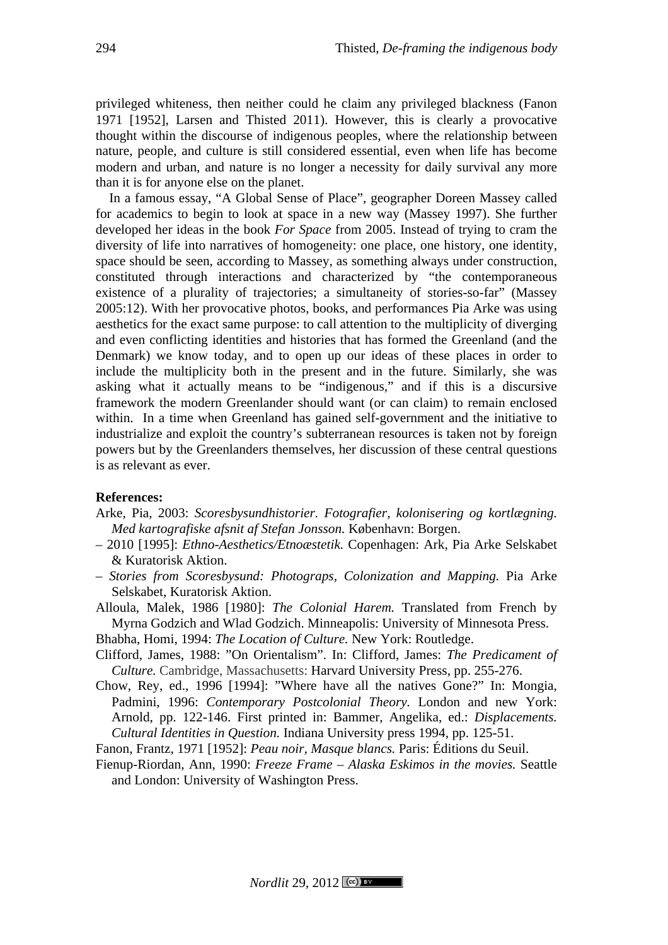privileged whiteness, then neither could he claim any privileged blackness (Fanon 1971 [1952], Larsen and Thisted 2011). However, this is clearly a provocative thought within the discourse of indigenous peoples, where the relationship between nature, people, and culture is still considered essential, even when life has become modern and urban, and nature is no longer a necessity for daily survival any more than it is for anyone else on the planet.

In a famous essay, "A Global Sense of Place", geographer Doreen Massey called for academics to begin to look at space in a new way (Massey 1997). She further developed her ideas in the book *For Space* from 2005. Instead of trying to cram the diversity of life into narratives of homogeneity: one place, one history, one identity, space should be seen, according to Massey, as something always under construction, constituted through interactions and characterized by "the contemporaneous existence of a plurality of trajectories; a simultaneity of stories-so-far" (Massey 2005:12). With her provocative photos, books, and performances Pia Arke was using aesthetics for the exact same purpose: to call attention to the multiplicity of diverging and even conflicting identities and histories that has formed the Greenland (and the Denmark) we know today, and to open up our ideas of these places in order to include the multiplicity both in the present and in the future. Similarly, she was asking what it actually means to be "indigenous," and if this is a discursive framework the modern Greenlander should want (or can claim) to remain enclosed within. In a time when Greenland has gained self-government and the initiative to industrialize and exploit the country's subterranean resources is taken not by foreign powers but by the Greenlanders themselves, her discussion of these central questions is as relevant as ever.

#### **References:**

- Arke, Pia, 2003: *Scoresbysundhistorier. Fotografier, kolonisering og kortlægning. Med kartografiske afsnit af Stefan Jonsson.* København: Borgen.
- 2010 [1995]: *Ethno-Aesthetics/Etnoæstetik.* Copenhagen: Ark, Pia Arke Selskabet & Kuratorisk Aktion.
- *– Stories from Scoresbysund: Photograps, Colonization and Mapping.* Pia Arke Selskabet, Kuratorisk Aktion.

Alloula, Malek, 1986 [1980]: *The Colonial Harem.* Translated from French by Myrna Godzich and Wlad Godzich. Minneapolis: University of Minnesota Press.

Bhabha, Homi, 1994: *The Location of Culture.* New York: Routledge.

- Clifford, James, 1988: "On Orientalism". In: Clifford, James: *The Predicament of Culture.* Cambridge, Massachusetts: Harvard University Press, pp. 255-276.
- Chow, Rey, ed., 1996 [1994]: "Where have all the natives Gone?" In: Mongia, Padmini, 1996: *Contemporary Postcolonial Theory.* London and new York: Arnold, pp. 122-146. First printed in: Bammer, Angelika, ed.: *Displacements. Cultural Identities in Question.* Indiana University press 1994, pp. 125-51.

Fanon, Frantz, 1971 [1952]: *Peau noir, Masque blancs.* Paris: Éditions du Seuil.

Fienup-Riordan, Ann, 1990: *Freeze Frame – Alaska Eskimos in the movies.* Seattle and London: University of Washington Press.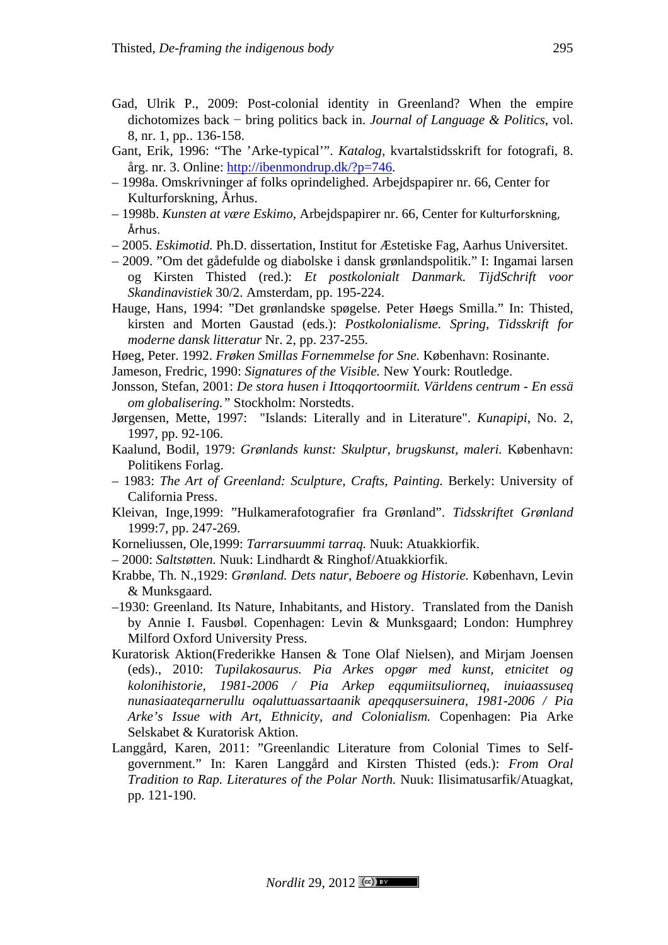- Gad, Ulrik P., 2009: Post-colonial identity in Greenland? When the empire dichotomizes back − bring politics back in. *Journal of Language & Politics*, vol. 8, nr. 1, pp.. 136-158.
- Gant, Erik, 1996: "The 'Arke-typical'". *Katalog,* kvartalstidsskrift for fotografi, 8. årg. nr. 3. Online: http://ibenmondrup.dk/?p=746.
- 1998a. Omskrivninger af folks oprindelighed. Arbejdspapirer nr. 66, Center for Kulturforskning, Århus.
- 1998b. *Kunsten at være Eskimo*, Arbejdspapirer nr. 66, Center for Kulturforskning,! Århus.
- 2005. *Eskimotid.* Ph.D. dissertation, Institut for Æstetiske Fag, Aarhus Universitet.
- 2009. "Om det gådefulde og diabolske i dansk grønlandspolitik." I: Ingamai larsen og Kirsten Thisted (red.): *Et postkolonialt Danmark. TijdSchrift voor Skandinavistiek* 30/2. Amsterdam, pp. 195-224.
- Hauge, Hans, 1994: "Det grønlandske spøgelse. Peter Høegs Smilla." In: Thisted, kirsten and Morten Gaustad (eds.): *Postkolonialisme. Spring, Tidsskrift for moderne dansk litteratur* Nr. 2, pp. 237-255.

Høeg, Peter. 1992. *Frøken Smillas Fornemmelse for Sne.* København: Rosinante.

Jameson, Fredric, 1990: *Signatures of the Visible.* New Yourk: Routledge.

- Jonsson, Stefan, 2001: *De stora husen i Ittoqqortoormiit. Världens centrum - En essä om globalisering."* Stockholm: Norstedts.
- Jørgensen, Mette, 1997: "Islands: Literally and in Literature". *Kunapipi*, No. 2, 1997, pp. 92-106.
- Kaalund, Bodil, 1979: *Grønlands kunst: Skulptur, brugskunst, maleri.* København: Politikens Forlag.
- 1983: *The Art of Greenland: Sculpture, Crafts, Painting.* Berkely: University of California Press.
- Kleivan, Inge,1999: "Hulkamerafotografier fra Grønland". *Tidsskriftet Grønland*  1999:7, pp. 247-269.
- Korneliussen, Ole,1999: *Tarrarsuummi tarraq.* Nuuk: Atuakkiorfik.
- 2000: *Saltstøtten.* Nuuk: Lindhardt & Ringhof/Atuakkiorfik.
- Krabbe, Th. N.,1929: *Grønland. Dets natur, Beboere og Historie.* København, Levin & Munksgaard.
- –1930: Greenland. Its Nature, Inhabitants, and History. Translated from the Danish by Annie I. Fausbøl. Copenhagen: Levin & Munksgaard; London: Humphrey Milford Oxford University Press.
- Kuratorisk Aktion(Frederikke Hansen & Tone Olaf Nielsen), and Mirjam Joensen (eds)., 2010: *Tupilakosaurus. Pia Arkes opgør med kunst, etnicitet og kolonihistorie, 1981-2006 / Pia Arkep eqqumiitsuliorneq, inuiaassuseq nunasiaateqarnerullu oqaluttuassartaanik apeqqusersuinera, 1981-2006 / Pia Arke's Issue with Art, Ethnicity, and Colonialism.* Copenhagen: Pia Arke Selskabet & Kuratorisk Aktion.
- Langgård, Karen, 2011: "Greenlandic Literature from Colonial Times to Selfgovernment." In: Karen Langgård and Kirsten Thisted (eds.): *From Oral Tradition to Rap. Literatures of the Polar North.* Nuuk: Ilisimatusarfik/Atuagkat, pp. 121-190.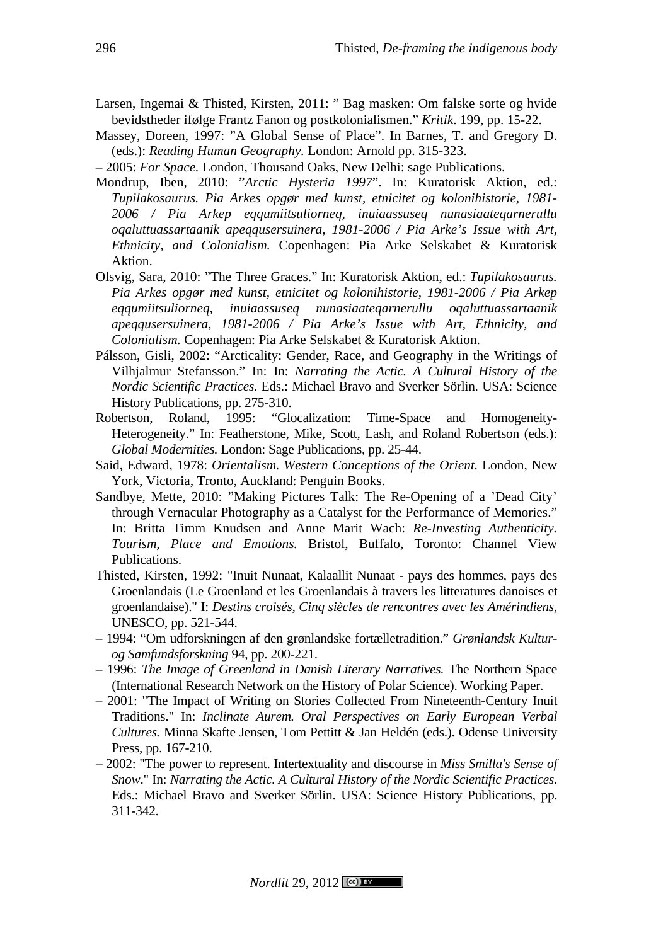- Larsen, Ingemai & Thisted, Kirsten, 2011: " Bag masken: Om falske sorte og hvide bevidstheder ifølge Frantz Fanon og postkolonialismen." *Kritik*. 199, pp. 15-22.
- Massey, Doreen, 1997: "A Global Sense of Place". In Barnes, T. and Gregory D. (eds.): *Reading Human Geography.* London: Arnold pp. 315-323.
- 2005: *For Space.* London, Thousand Oaks, New Delhi: sage Publications.
- Mondrup, Iben, 2010: "*Arctic Hysteria 1997*". In: Kuratorisk Aktion, ed.: *Tupilakosaurus. Pia Arkes opgør med kunst, etnicitet og kolonihistorie, 1981- 2006 / Pia Arkep eqqumiitsuliorneq, inuiaassuseq nunasiaateqarnerullu oqaluttuassartaanik apeqqusersuinera, 1981-2006 / Pia Arke's Issue with Art, Ethnicity, and Colonialism.* Copenhagen: Pia Arke Selskabet & Kuratorisk Aktion.
- Olsvig, Sara, 2010: "The Three Graces." In: Kuratorisk Aktion, ed.: *Tupilakosaurus. Pia Arkes opgør med kunst, etnicitet og kolonihistorie, 1981-2006 / Pia Arkep eqqumiitsuliorneq, inuiaassuseq nunasiaateqarnerullu oqaluttuassartaanik apeqqusersuinera, 1981-2006 / Pia Arke's Issue with Art, Ethnicity, and Colonialism.* Copenhagen: Pia Arke Selskabet & Kuratorisk Aktion.
- Pálsson, Gisli, 2002: "Arcticality: Gender, Race, and Geography in the Writings of Vilhjalmur Stefansson." In: In: *Narrating the Actic. A Cultural History of the Nordic Scientific Practices*. Eds.: Michael Bravo and Sverker Sörlin. USA: Science History Publications, pp. 275-310.
- Robertson, Roland, 1995: "Glocalization: Time-Space and Homogeneity-Heterogeneity." In: Featherstone, Mike, Scott, Lash, and Roland Robertson (eds.): *Global Modernities.* London: Sage Publications, pp. 25-44.
- Said, Edward, 1978: *Orientalism. Western Conceptions of the Orient.* London, New York, Victoria, Tronto, Auckland: Penguin Books.
- Sandbye, Mette, 2010: "Making Pictures Talk: The Re-Opening of a 'Dead City' through Vernacular Photography as a Catalyst for the Performance of Memories." In: Britta Timm Knudsen and Anne Marit Wach: *Re-Investing Authenticity. Tourism, Place and Emotions.* Bristol, Buffalo, Toronto: Channel View Publications.
- Thisted, Kirsten, 1992: "Inuit Nunaat, Kalaallit Nunaat pays des hommes, pays des Groenlandais (Le Groenland et les Groenlandais à travers les litteratures danoises et groenlandaise)." I: *Destins croisés, Cinq siècles de rencontres avec les Amérindiens*, UNESCO, pp. 521-544.
- 1994: "Om udforskningen af den grønlandske fortælletradition." *Grønlandsk Kulturog Samfundsforskning* 94, pp. 200-221.
- 1996: *The Image of Greenland in Danish Literary Narratives.* The Northern Space (International Research Network on the History of Polar Science). Working Paper.
- 2001: "The Impact of Writing on Stories Collected From Nineteenth-Century Inuit Traditions." In: *Inclinate Aurem. Oral Perspectives on Early European Verbal Cultures.* Minna Skafte Jensen, Tom Pettitt & Jan Heldén (eds.). Odense University Press, pp. 167-210.
- 2002: "The power to represent. Intertextuality and discourse in *Miss Smilla's Sense of Snow*." In: *Narrating the Actic. A Cultural History of the Nordic Scientific Practices*. Eds.: Michael Bravo and Sverker Sörlin. USA: Science History Publications, pp. 311-342.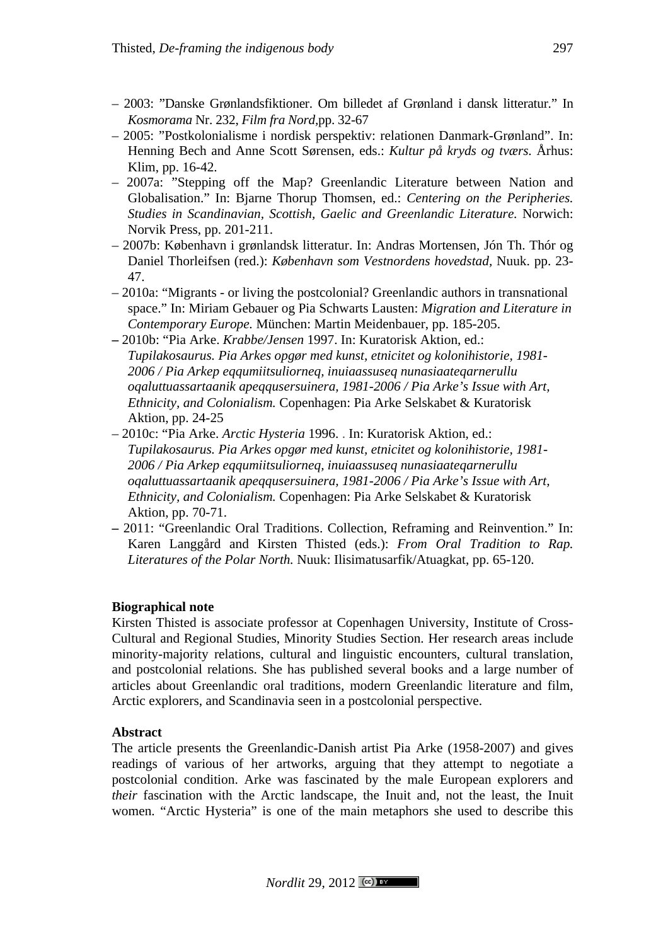- 2003: "Danske Grønlandsfiktioner. Om billedet af Grønland i dansk litteratur." In *Kosmorama* Nr. 232, *Film fra Nord,*pp. 32-67
- 2005: "Postkolonialisme i nordisk perspektiv: relationen Danmark-Grønland". In: Henning Bech and Anne Scott Sørensen, eds.: *Kultur på kryds og tværs.* Århus: Klim, pp. 16-42.
- 2007a: "Stepping off the Map? Greenlandic Literature between Nation and Globalisation." In: Bjarne Thorup Thomsen, ed.: *Centering on the Peripheries. Studies in Scandinavian, Scottish, Gaelic and Greenlandic Literature.* Norwich: Norvik Press, pp. 201-211.
- 2007b: København i grønlandsk litteratur. In: Andras Mortensen, Jón Th. Thór og Daniel Thorleifsen (red.): *København som Vestnordens hovedstad,* Nuuk. pp. 23- 47.
- 2010a: "Migrants or living the postcolonial? Greenlandic authors in transnational space." In: Miriam Gebauer og Pia Schwarts Lausten: *Migration and Literature in Contemporary Europe.* München: Martin Meidenbauer, pp. 185-205.
- **–** 2010b: "Pia Arke. *Krabbe/Jensen* 1997. In: Kuratorisk Aktion, ed.: *Tupilakosaurus. Pia Arkes opgør med kunst, etnicitet og kolonihistorie, 1981- 2006 / Pia Arkep eqqumiitsuliorneq, inuiaassuseq nunasiaateqarnerullu oqaluttuassartaanik apeqqusersuinera, 1981-2006 / Pia Arke's Issue with Art, Ethnicity, and Colonialism.* Copenhagen: Pia Arke Selskabet & Kuratorisk Aktion, pp. 24-25
- 2010c: "Pia Arke. *Arctic Hysteria* 1996. . In: Kuratorisk Aktion, ed.: *Tupilakosaurus. Pia Arkes opgør med kunst, etnicitet og kolonihistorie, 1981- 2006 / Pia Arkep eqqumiitsuliorneq, inuiaassuseq nunasiaateqarnerullu oqaluttuassartaanik apeqqusersuinera, 1981-2006 / Pia Arke's Issue with Art, Ethnicity, and Colonialism.* Copenhagen: Pia Arke Selskabet & Kuratorisk Aktion, pp. 70-71.
- **–** 2011: "Greenlandic Oral Traditions. Collection, Reframing and Reinvention." In: Karen Langgård and Kirsten Thisted (eds.): *From Oral Tradition to Rap. Literatures of the Polar North.* Nuuk: Ilisimatusarfik/Atuagkat, pp. 65-120.

# **Biographical note**

Kirsten Thisted is associate professor at Copenhagen University, Institute of Cross-Cultural and Regional Studies, Minority Studies Section. Her research areas include minority-majority relations, cultural and linguistic encounters, cultural translation, and postcolonial relations. She has published several books and a large number of articles about Greenlandic oral traditions, modern Greenlandic literature and film, Arctic explorers, and Scandinavia seen in a postcolonial perspective.

# **Abstract**

The article presents the Greenlandic-Danish artist Pia Arke (1958-2007) and gives readings of various of her artworks, arguing that they attempt to negotiate a postcolonial condition. Arke was fascinated by the male European explorers and *their* fascination with the Arctic landscape, the Inuit and, not the least, the Inuit women. "Arctic Hysteria" is one of the main metaphors she used to describe this